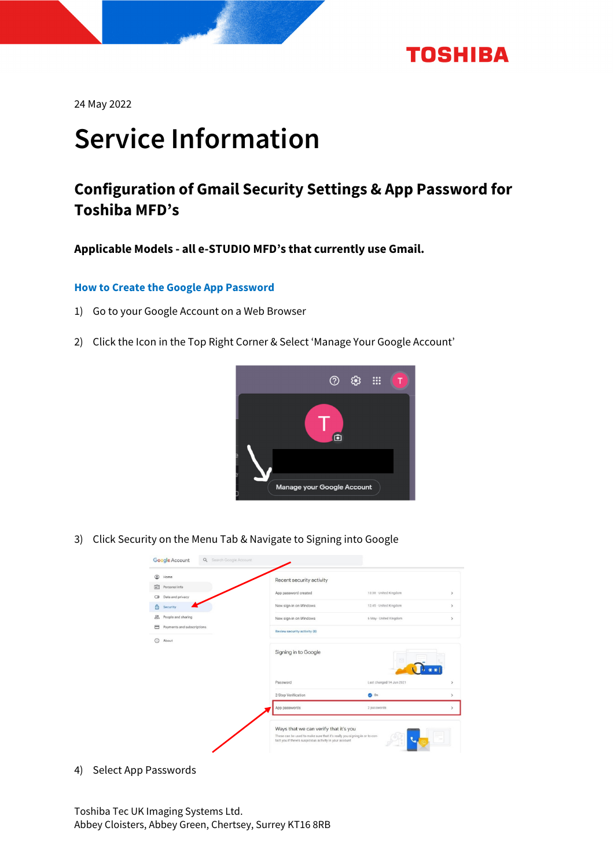

24 May 2022

# Service Information

### **Configuration of Gmail Security Settings & App Password for Toshiba MFD's**

**Applicable Models - all e-STUDIO MFD's that currently use Gmail.** 

#### **How to Create the Google App Password**

- 1) Go to your Google Account on a Web Browser
- 2) Click the Icon in the Top Right Corner & Select 'Manage Your Google Account'



3) Click Security on the Menu Tab & Navigate to Signing into Google



4) Select App Passwords

Toshiba Tec UK Imaging Systems Ltd. Abbey Cloisters, Abbey Green, Chertsey, Surrey KT16 8RB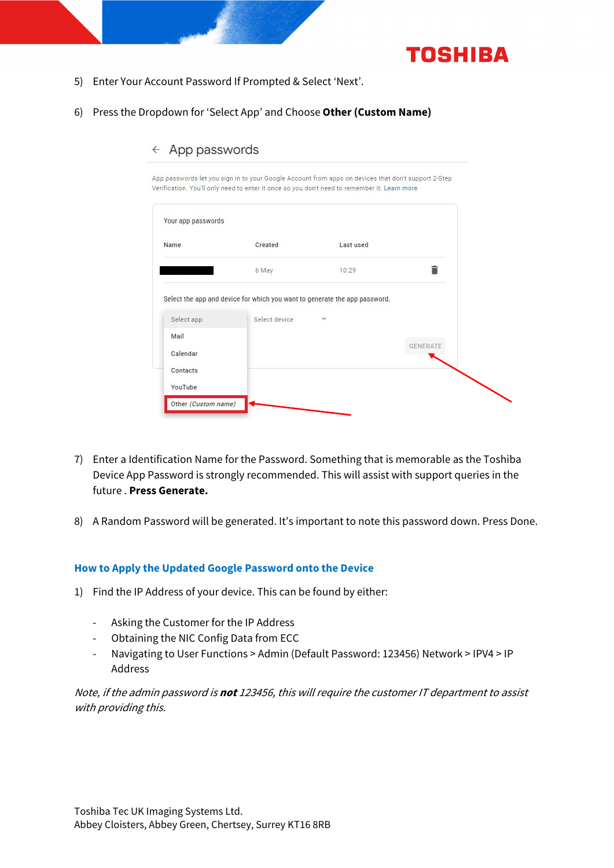

- 5) Enter Your Account Password If Prompted & Select 'Next'.
- 6) Press the Dropdown for 'Select App' and Choose **Other (Custom Name)**

| Your app passwords |                                                                                             |           |                 |
|--------------------|---------------------------------------------------------------------------------------------|-----------|-----------------|
| Name               | Created                                                                                     | Last used |                 |
|                    | 6 May                                                                                       | 10:29     |                 |
|                    |                                                                                             |           |                 |
|                    | Select the app and device for which you want to generate the app password.<br>Select device |           |                 |
| Select app<br>Mail |                                                                                             |           |                 |
| Calendar           |                                                                                             |           | <b>GENERATE</b> |
| Contacts           |                                                                                             |           |                 |

 $\leftarrow$  App passwords

- 7) Enter a Identification Name for the Password. Something that is memorable as the Toshiba Device App Password is strongly recommended. This will assist with support queries in the future . **Press Generate.**
- 8) A Random Password will be generated. It's important to note this password down. Press Done.

#### **How to Apply the Updated Google Password onto the Device**

- 1) Find the IP Address of your device. This can be found by either:
	- ‐ Asking the Customer for the IP Address
	- ‐ Obtaining the NIC Config Data from ECC
	- ‐ Navigating to User Functions > Admin (Default Password: 123456) Network > IPV4 > IP Address

Note, if the admin password is **not** 123456, this will require the customer IT department to assist with providing this.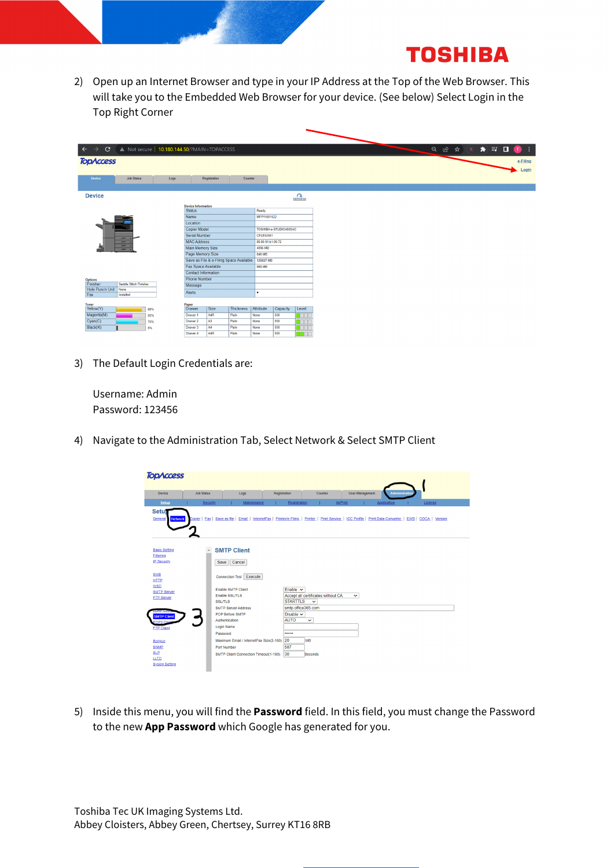## **TOSHIBA**

2) Open up an Internet Browser and type in your IP Address at the Top of the Web Browser. This will take you to the Embedded Web Browser for your device. (See below) Select Login in the Top Right Corner

|                            | $\leftarrow$ $\rightarrow$ $\mathbf{C}$ $\left\langle \right\rangle$ <b>A</b> Not secure   10.180.144.50/?MAIN=TOPACCESS |     |      |                                            |                |                                         |                   |                        |         |  |
|----------------------------|--------------------------------------------------------------------------------------------------------------------------|-----|------|--------------------------------------------|----------------|-----------------------------------------|-------------------|------------------------|---------|--|
| <b>TOPACCESS</b>           |                                                                                                                          |     |      |                                            |                |                                         |                   |                        |         |  |
|                            |                                                                                                                          |     |      |                                            |                |                                         |                   |                        |         |  |
|                            |                                                                                                                          |     |      |                                            |                |                                         |                   |                        |         |  |
| <b>Device</b>              | <b>Job Status</b>                                                                                                        |     | Logs |                                            | Registration   | Counter                                 |                   |                        |         |  |
|                            |                                                                                                                          |     |      |                                            |                |                                         |                   |                        |         |  |
| <b>Device</b>              |                                                                                                                          |     |      |                                            |                |                                         |                   |                        | REFRESH |  |
|                            |                                                                                                                          |     |      |                                            |                |                                         |                   |                        |         |  |
|                            |                                                                                                                          |     |      | <b>Device Information</b><br><b>Status</b> |                |                                         | Ready             |                        |         |  |
|                            |                                                                                                                          |     |      | Name                                       |                |                                         | MFP11601522       |                        |         |  |
|                            |                                                                                                                          |     |      | Location                                   |                |                                         |                   |                        |         |  |
|                            |                                                                                                                          |     |      | <b>Copier Model</b>                        |                |                                         |                   | TOSHIBA e-STUDIO4505AC |         |  |
|                            |                                                                                                                          |     |      | <b>Serial Number</b>                       |                |                                         | CFLE02501         |                        |         |  |
|                            | $-$<br>$\equiv$                                                                                                          |     |      | <b>MAC Address</b>                         |                |                                         | 00:80:91:b1:06:72 |                        |         |  |
|                            | $-$<br>$\overline{\phantom{0}}$                                                                                          |     |      | <b>Main Memory Size</b>                    |                |                                         | 4096 MB           |                        |         |  |
|                            |                                                                                                                          |     |      | Page Memory Size                           |                |                                         | 846 MB            |                        |         |  |
|                            |                                                                                                                          |     |      |                                            |                | Save as File & e-Filing Space Available | 120827 MB         |                        |         |  |
|                            |                                                                                                                          |     |      | Fax Space Available                        |                |                                         | 958 MB            |                        |         |  |
|                            |                                                                                                                          |     |      | <b>Contact Information</b>                 |                |                                         |                   |                        |         |  |
| <b>Options</b><br>Finisher | Saddle Stitch Finisher                                                                                                   |     |      | <b>Phone Number</b>                        |                |                                         |                   |                        |         |  |
| <b>Hole Punch Unit</b>     | None                                                                                                                     |     |      | Message                                    |                |                                         |                   |                        |         |  |
| Fax                        | Installed                                                                                                                |     |      | Alerts                                     |                |                                         | ٠                 |                        |         |  |
|                            |                                                                                                                          |     |      |                                            |                |                                         |                   |                        |         |  |
| <b>Toner</b><br>Yellow(Y)  |                                                                                                                          | 88% |      | Paper<br><b>Drawer</b>                     | Size           | <b>Thickness</b>                        | Attribute         | Capacity               | Level   |  |
| Magenta(M)                 |                                                                                                                          | 55% |      | Drawer 1                                   | A4R            | Plain                                   | None              | 550                    | T       |  |
| Cyan(C)                    |                                                                                                                          | 75% |      | Drawer 2                                   | A <sub>3</sub> | Plain                                   | None              | 550                    | T       |  |
| Black(K)                   |                                                                                                                          | 5%  |      | Drawer 3                                   | A4             | Plain                                   | None              | 550                    |         |  |
|                            |                                                                                                                          |     |      | Drawer 4                                   | A4R            | Plain                                   | None              | 550                    | T       |  |

3) The Default Login Credentials are:

Username: Admin Password: 123456

4) Navigate to the Administration Tab, Select Network & Select SMTP Client

| <b>TODACCESS</b>                                                                                                                |                   |                                                                                                                                                            |                                                      |                                                   |                        |                      |         |  |
|---------------------------------------------------------------------------------------------------------------------------------|-------------------|------------------------------------------------------------------------------------------------------------------------------------------------------------|------------------------------------------------------|---------------------------------------------------|------------------------|----------------------|---------|--|
| Device                                                                                                                          | <b>Job Status</b> | Logs                                                                                                                                                       | Registration                                         | Counter                                           | <b>User Management</b> | <b>Administratio</b> |         |  |
| <b>Setup</b>                                                                                                                    | Security          | Maintenance                                                                                                                                                | Registration                                         |                                                   | AirPrint               | Application          | License |  |
| Setui<br>General<br><b>Network</b>                                                                                              |                   | Copier   Fax   Save as file   Email   InternetFax   Printer/e-Filing   Printer   Print Service   ICC Profile   Print Data Converter   EWB   ODCA   Version |                                                      |                                                   |                        |                      |         |  |
| <b>Basic Setting</b><br><b>Filtering</b><br><b>IP Security</b><br><b>SMB</b><br><b>HTTP</b><br><b>WSD</b><br><b>SMTP Server</b> |                   | <b>SMTP Client</b><br>Cancel<br>Save<br>Connection Test Execute<br><b>Enable SMTP Client</b><br><b>Enable SSL/TLS</b>                                      | Enable $\vee$                                        | Accept all certificates without CA                | $\check{ }$            |                      |         |  |
| <b>FTP Server</b><br>フハア しま<br><b>SMTP Client</b><br><b>DP3 Clig</b><br><b>FTP Client</b>                                       |                   | <b>SSL/TLS</b><br><b>SMTP Server Address</b><br>POP Before SMTP<br>Authentication<br>Login Name<br>Password                                                | <b>STARTTLS</b><br>Disable $\sim$<br><b>AUTO</b><br> | $\checkmark$<br>smtp.office365.com<br>$\check{ }$ |                        |                      |         |  |
| <b>Bonjour</b><br><b>SNMP</b><br><b>SLP</b><br>LLTD.<br><b>Syslog Setting</b>                                                   |                   | Maximum Email / InternetFax Size(2-100) 20<br>Port Number<br>SMTP Client Connection Timeout(1-180)                                                         | 587<br>30                                            | MB<br>Seconds                                     |                        |                      |         |  |

5) Inside this menu, you will find the **Password** field. In this field, you must change the Password to the new **App Password** which Google has generated for you.